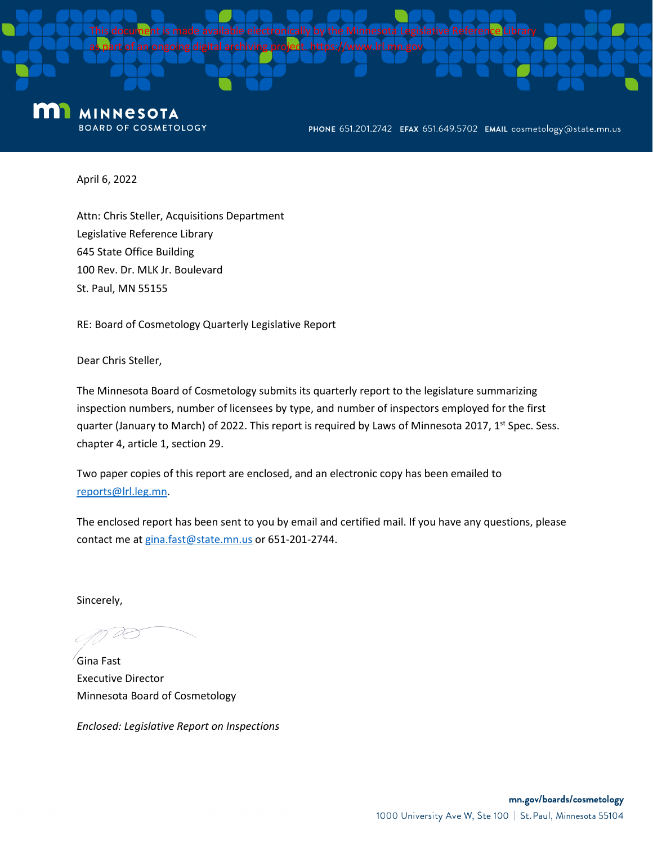

#### m **MINNESOTA BOARD OF COSMETOLOGY**

PHONE 651.201.2742 EFAX 651.649.5702 EMAIL cosmetology@state.mn.us

April 6, 2022

Attn: Chris Steller, Acquisitions Department Legislative Reference Library 645 State Office Building 100 Rev. Dr. MLK Jr. Boulevard St. Paul, MN 55155

RE: Board of Cosmetology Quarterly Legislative Report

Dear Chris Steller,

The Minnesota Board of Cosmetology submits its quarterly report to the legislature summarizing inspection numbers, number of licensees by type, and number of inspectors employed for the first quarter (January to March) of 2022. This report is required by Laws of Minnesota 2017, 1<sup>st</sup> Spec. Sess. chapter 4, article 1, section 29.

Two paper copies of this report are enclosed, and an electronic copy has been emailed to reports@lrl.leg.mn.

The enclosed report has been sent to you by email and certified mail. If you have any questions, please contact me at gina.fast@state.mn.us or 651-201-2744.

Sincerely,

Gina Fast Executive Director Minnesota Board of Cosmetology

*Enclosed: Legislative Report on Inspections*